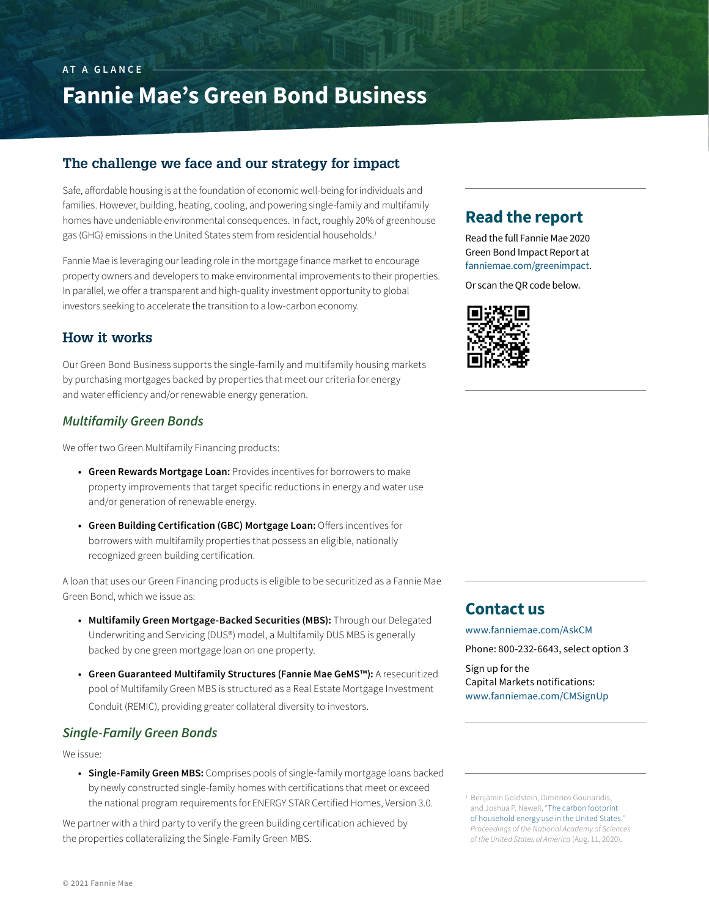#### homes have undeniable environmental consequences. In fact, roughly 20% of greenhouse gas (GHG) emissions in the United States stem from residential households.<sup>1</sup>

Fannie Mae is leveraging our leading role in the mortgage finance market to encourage property owners and developers to make environmental improvements to their properties. In parallel, we offer a transparent and high-quality investment opportunity to global investors seeking to accelerate the transition to a low-carbon economy.

**The challenge we face and our strategy for impact**

Safe, affordable housing is at the foundation of economic well-being for individuals and families. However, building, heating, cooling, and powering single-family and multifamily

**Fannie Mae's Green Bond Business**

#### **How it works**

**AT A GLANCE**

Our Green Bond Business supports the single-family and multifamily housing markets by purchasing mortgages backed by properties that meet our criteria for energy and water efficiency and/or renewable energy generation.

#### *Multifamily Green Bonds*

We offer two Green Multifamily Financing products:

- **• Green Rewards Mortgage Loan:** Provides incentives for borrowers to make property improvements that target specific reductions in energy and water use and/or generation of renewable energy.
- **• Green Building Certification (GBC) Mortgage Loan:** Offers incentives for borrowers with multifamily properties that possess an eligible, nationally recognized green building certification.

A loan that uses our Green Financing products is eligible to be securitized as a Fannie Mae Green Bond, which we issue as:

- **• Multifamily Green Mortgage-Backed Securities (MBS):** Through our Delegated Underwriting and Servicing (DUS®) model, a Multifamily DUS MBS is generally backed by one green mortgage loan on one property.
- **• Green Guaranteed Multifamily Structures (Fannie Mae GeMS™):** A resecuritized pool of Multifamily Green MBS is structured as a Real Estate Mortgage Investment Conduit (REMIC), providing greater collateral diversity to investors.

#### *Single-Family Green Bonds*

We issue:

**• Single-Family Green MBS:** Comprises pools of single-family mortgage loans backed by newly constructed single-family homes with certifications that meet or exceed the national program requirements for ENERGY STAR Certified Homes, Version 3.0.

We partner with a third party to verify the green building certification achieved by the properties collateralizing the Single-Family Green MBS.

## **Read the report**

Read the full Fannie Mae 2020 Green Bond Impact Report at [fanniemae.com/greenimpact](https://fm.fanniemae.com/greenimpact/index.html).

Or scan the QR code below.



### **Contact us**

[www.fanniemae.com/AskCM](https://capitalmarkets.fanniemae.com/form/main-contact-form)

Phone: 800-232-6643, select option 3

Sign up for the Capital Markets notifications: [www.fanniemae.com/CMSignUp](https://capitalmarkets.fanniemae.com/form/notification-sign-up)

1 Benjamin Goldstein, Dimitrios Gounaridis, and Joshua P. Newell, ["The carbon footprint](https://www.pnas.org/content/117/32/19122)  [of household energy use in the United States](https://www.pnas.org/content/117/32/19122)," *Proceedings of the National Academy of Sciences of the United States of America* (Aug. 11, 2020).